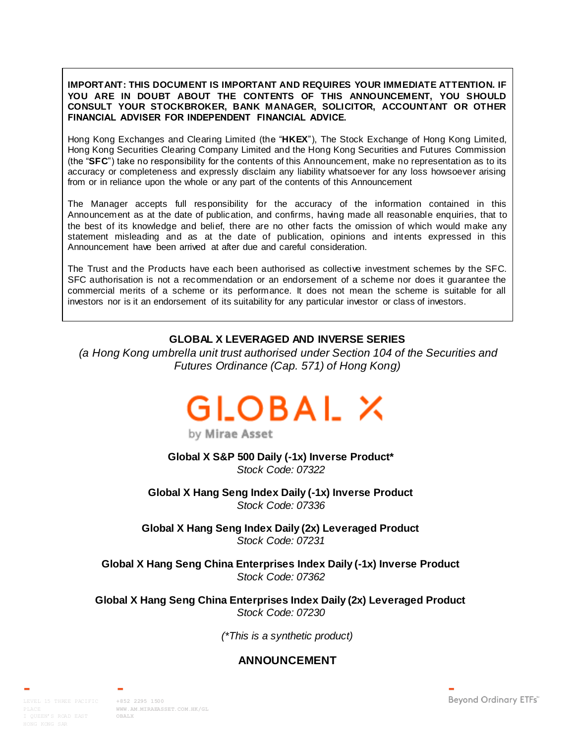#### **IMPORTANT: THIS DOCUMENT IS IMPORTANT AND REQUIRES YOUR IMMEDIATE ATTENTION. IF YOU ARE IN DOUBT ABOUT THE CONTENTS OF THIS ANNOUNCEMENT, YOU SHOULD CONSULT YOUR STOCKBROKER, BANK MANAGER, SOLICITOR, ACCOUNTANT OR OTHER FINANCIAL ADVISER FOR INDEPENDENT FINANCIAL ADVICE.**

Hong Kong Exchanges and Clearing Limited (the "**HKEX**"), The Stock Exchange of Hong Kong Limited, Hong Kong Securities Clearing Company Limited and the Hong Kong Securities and Futures Commission (the "**SFC**") take no responsibility for the contents of this Announcement, make no representation as to its accuracy or completeness and expressly disclaim any liability whatsoever for any loss howsoever arising from or in reliance upon the whole or any part of the contents of this Announcement

The Manager accepts full responsibility for the accuracy of the information contained in this Announcement as at the date of publication, and confirms, having made all reasonable enquiries, that to the best of its knowledge and belief, there are no other facts the omission of which would make any statement misleading and as at the date of publication, opinions and intents expressed in this Announcement have been arrived at after due and careful consideration.

The Trust and the Products have each been authorised as collective investment schemes by the SFC. SFC authorisation is not a recommendation or an endorsement of a scheme nor does it guarantee the commercial merits of a scheme or its performance. It does not mean the scheme is suitable for all investors nor is it an endorsement of its suitability for any particular investor or class of investors.

# **GLOBAL X LEVERAGED AND INVERSE SERIES**

*(a Hong Kong umbrella unit trust authorised under Section 104 of the Securities and Futures Ordinance (Cap. 571) of Hong Kong)*



by Mirae Asset

**Global X S&P 500 Daily (-1x) Inverse Product\*** *Stock Code: 07322*

**Global X Hang Seng Index Daily (-1x) Inverse Product** *Stock Code: 07336*

**Global X Hang Seng Index Daily (2x) Leveraged Product** *Stock Code: 07231*

**Global X Hang Seng China Enterprises Index Daily (-1x) Inverse Product** *Stock Code: 07362*

**Global X Hang Seng China Enterprises Index Daily (2x) Leveraged Product** *Stock Code: 07230*

*(\*This is a synthetic product)*

# **ANNOUNCEMENT**

LEVEL 15 THREE PACIFIC **+852 2295 1500**

**[WWW.AM.MIRAEASSET.COM.HK/GL](http://www.am.miraeasset.com.hk/globalx) [OBALX](http://www.am.miraeasset.com.hk/globalx)**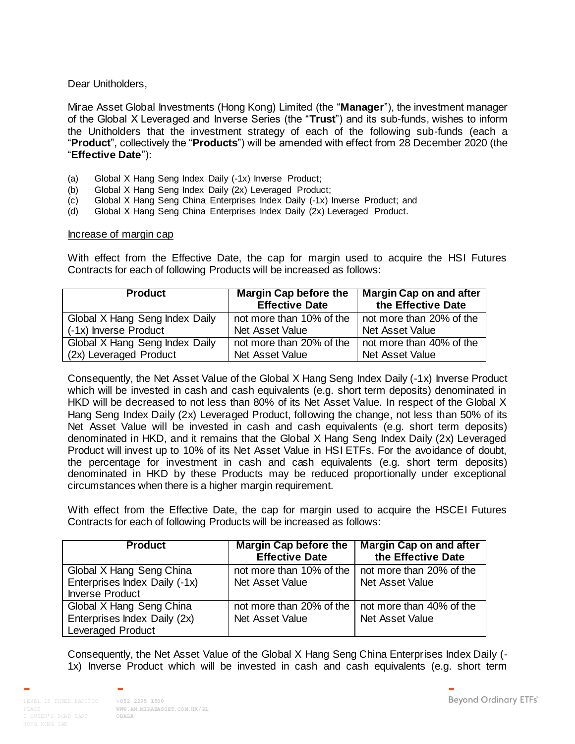Dear Unitholders,

Mirae Asset Global Investments (Hong Kong) Limited (the "**Manager**"), the investment manager of the Global X Leveraged and Inverse Series (the "**Trust**") and its sub-funds, wishes to inform the Unitholders that the investment strategy of each of the following sub-funds (each a "**Product**", collectively the "**Products**") will be amended with effect from 28 December 2020 (the "**Effective Date**"):

- (a) Global X Hang Seng Index Daily (-1x) Inverse Product;
- (b) Global X Hang Seng Index Daily (2x) Leveraged Product;
- (c) Global X Hang Seng China Enterprises Index Daily (-1x) Inverse Product; and
- (d) Global X Hang Seng China Enterprises Index Daily (2x) Leveraged Product.

#### Increase of margin cap

With effect from the Effective Date, the cap for margin used to acquire the HSI Futures Contracts for each of following Products will be increased as follows:

| <b>Product</b>                 | <b>Margin Cap before the</b><br><b>Effective Date</b> | <b>Margin Cap on and after</b><br>the Effective Date |
|--------------------------------|-------------------------------------------------------|------------------------------------------------------|
| Global X Hang Seng Index Daily | not more than 10% of the                              | not more than 20% of the                             |
| (-1x) Inverse Product          | Net Asset Value                                       | <b>Net Asset Value</b>                               |
| Global X Hang Seng Index Daily | not more than 20% of the                              | not more than 40% of the                             |
| (2x) Leveraged Product         | Net Asset Value                                       | Net Asset Value                                      |

Consequently, the Net Asset Value of the Global X Hang Seng Index Daily (-1x) Inverse Product which will be invested in cash and cash equivalents (e.g. short term deposits) denominated in HKD will be decreased to not less than 80% of its Net Asset Value. In respect of the Global X Hang Seng Index Daily (2x) Leveraged Product, following the change, not less than 50% of its Net Asset Value will be invested in cash and cash equivalents (e.g. short term deposits) denominated in HKD, and it remains that the Global X Hang Seng Index Daily (2x) Leveraged Product will invest up to 10% of its Net Asset Value in HSI ETFs. For the avoidance of doubt, the percentage for investment in cash and cash equivalents (e.g. short term deposits) denominated in HKD by these Products may be reduced proportionally under exceptional circumstances when there is a higher margin requirement.

With effect from the Effective Date, the cap for margin used to acquire the HSCEI Futures Contracts for each of following Products will be increased as follows:

| <b>Product</b>                                          | <b>Margin Cap before the</b><br><b>Effective Date</b> | Margin Cap on and after<br>the Effective Date |
|---------------------------------------------------------|-------------------------------------------------------|-----------------------------------------------|
| Global X Hang Seng China                                | not more than 10% of the   not more than 20% of the   |                                               |
| Enterprises Index Daily (-1x)<br><b>Inverse Product</b> | Net Asset Value                                       | Net Asset Value                               |
| Global X Hang Seng China                                | not more than 20% of the   not more than 40% of the   |                                               |
| Enterprises Index Daily (2x)                            | Net Asset Value                                       | Net Asset Value                               |
| <b>Leveraged Product</b>                                |                                                       |                                               |

Consequently, the Net Asset Value of the Global X Hang Seng China Enterprises Index Daily (- 1x) Inverse Product which will be invested in cash and cash equivalents (e.g. short term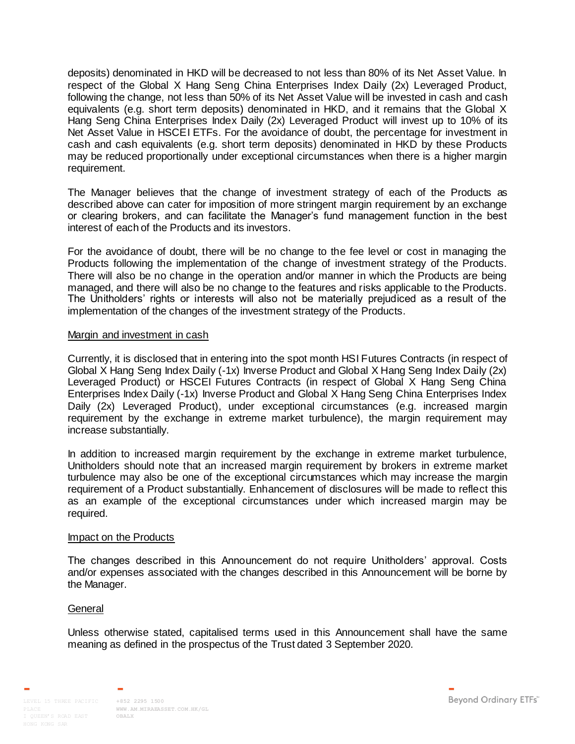deposits) denominated in HKD will be decreased to not less than 80% of its Net Asset Value. In respect of the Global X Hang Seng China Enterprises Index Daily (2x) Leveraged Product, following the change, not less than 50% of its Net Asset Value will be invested in cash and cash equivalents (e.g. short term deposits) denominated in HKD, and it remains that the Global X Hang Seng China Enterprises Index Daily (2x) Leveraged Product will invest up to 10% of its Net Asset Value in HSCEI ETFs. For the avoidance of doubt, the percentage for investment in cash and cash equivalents (e.g. short term deposits) denominated in HKD by these Products may be reduced proportionally under exceptional circumstances when there is a higher margin requirement.

The Manager believes that the change of investment strategy of each of the Products as described above can cater for imposition of more stringent margin requirement by an exchange or clearing brokers, and can facilitate the Manager's fund management function in the best interest of each of the Products and its investors.

For the avoidance of doubt, there will be no change to the fee level or cost in managing the Products following the implementation of the change of investment strategy of the Products. There will also be no change in the operation and/or manner in which the Products are being managed, and there will also be no change to the features and risks applicable to the Products. The Unitholders' rights or interests will also not be materially prejudiced as a result of the implementation of the changes of the investment strategy of the Products.

### Margin and investment in cash

Currently, it is disclosed that in entering into the spot month HSI Futures Contracts (in respect of Global X Hang Seng Index Daily (-1x) Inverse Product and Global X Hang Seng Index Daily (2x) Leveraged Product) or HSCEI Futures Contracts (in respect of Global X Hang Seng China Enterprises Index Daily (-1x) Inverse Product and Global X Hang Seng China Enterprises Index Daily (2x) Leveraged Product), under exceptional circumstances (e.g. increased margin requirement by the exchange in extreme market turbulence), the margin requirement may increase substantially.

In addition to increased margin requirement by the exchange in extreme market turbulence, Unitholders should note that an increased margin requirement by brokers in extreme market turbulence may also be one of the exceptional circumstances which may increase the margin requirement of a Product substantially. Enhancement of disclosures will be made to reflect this as an example of the exceptional circumstances under which increased margin may be required.

### Impact on the Products

The changes described in this Announcement do not require Unitholders' approval. Costs and/or expenses associated with the changes described in this Announcement will be borne by the Manager.

### **General**

Unless otherwise stated, capitalised terms used in this Announcement shall have the same meaning as defined in the prospectus of the Trust dated 3 September 2020.

**[WWW.AM.MIRAEASSET.COM.HK/GL](http://www.am.miraeasset.com.hk/globalx) [OBALX](http://www.am.miraeasset.com.hk/globalx)**